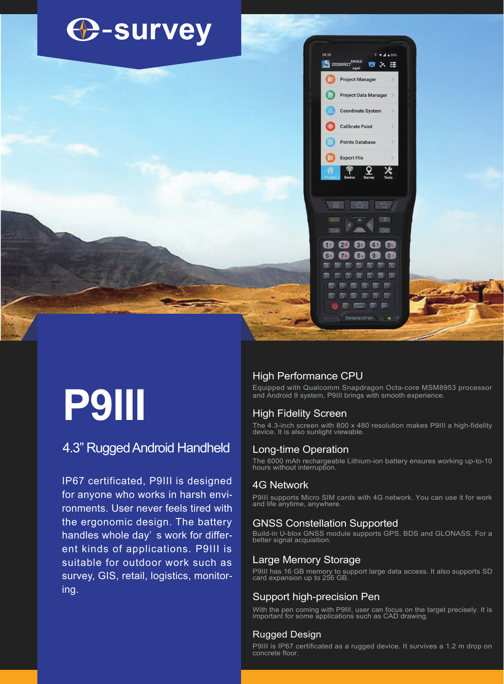

# **P9III**

4.3" Rugged Android Handheld

IP67 certificated, P9III is designed for anyone who works in harsh environments. User never feels tired with the ergonomic design. The battery handles whole day' s work for different kinds of applications. P9III is suitable for outdoor work such as survey, GIS, retail, logistics, monitoring.

# High Performance CPU

Equipped with Qualcomm Snapdragon Octa-core MSM8953 processor and Android 9 system, P9III brings with smooth experience.

#### High Fidelity Screen

The 4.3-inch screen with 800 x 480 resolution makes P9III a high-fidelity device. It is also sunlight viewable.

## Long-time Operation

The 6000 mAh rechargeable Lithium-ion battery ensures working up-to-10 hours without interruption.

#### 4G Network

P9III supports Micro SIM cards with 4G network. You can use it for work and life anytime, anywhere.

#### GNSS Constellation Supported

Build-in U-blox GNSS module supports GPS, BDS and GLONASS. For a better signal acquisition.

#### Large Memory Storage

P9III has 16 GB memory to support large data access. It also supports SD card expansion up to 256 GB.

## Support high-precision Pen

With the pen coming with P9III, user can focus on the target precisely. It is important for some applications such as CAD drawing.

#### Rugged Design

P9III is IP67 certificated as a rugged device. It survives a 1.2 m drop on concrete floor.